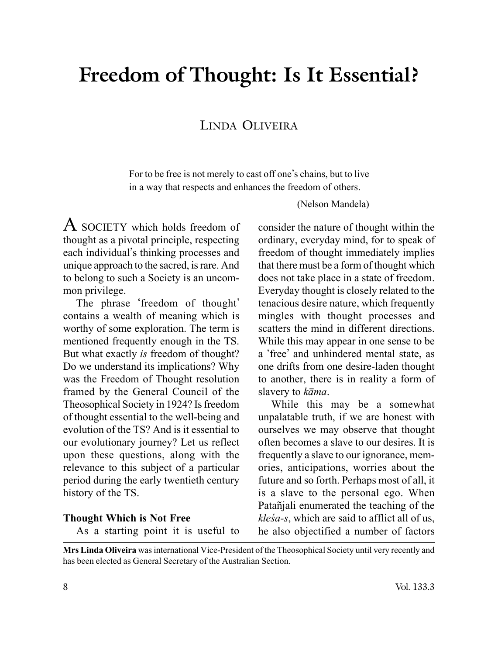# **Freedom of Thought: Is It Essential?**

## LINDA OLIVEIRA

For to be free is not merely to cast off one's chains, but to live in a way that respects and enhances the freedom of others.

(Nelson Mandela)

A SOCIETY which holds freedom of thought as a pivotal principle, respecting each individual's thinking processes and unique approach to the sacred, is rare. And to belong to such a Society is an uncommon privilege.

The phrase 'freedom of thought' contains a wealth of meaning which is worthy of some exploration. The term is mentioned frequently enough in the TS. But what exactly *is* freedom of thought? Do we understand its implications? Why was the Freedom of Thought resolution framed by the General Council of the Theosophical Society in 1924? Is freedom of thought essential to the well-being and evolution of the TS? And is it essential to our evolutionary journey? Let us reflect upon these questions, along with the relevance to this subject of a particular period during the early twentieth century history of the TS.

#### **Thought Which is Not Free**

As a starting point it is useful to

consider the nature of thought within the ordinary, everyday mind, for to speak of freedom of thought immediately implies that there must be a form of thought which does not take place in a state of freedom. Everyday thought is closely related to the tenacious desire nature, which frequently mingles with thought processes and scatters the mind in different directions. While this may appear in one sense to be a 'free' and unhindered mental state, as one drifts from one desire-laden thought to another, there is in reality a form of slavery to *kâma*.

While this may be a somewhat unpalatable truth, if we are honest with ourselves we may observe that thought often becomes a slave to our desires. It is frequently a slave to our ignorance, memories, anticipations, worries about the future and so forth. Perhaps most of all, it is a slave to the personal ego. When Patañjali enumerated the teaching of the *kles<sup>a</sup>-s*, which are said to afflict all of us, he also objectified a number of factors

**Mrs Linda Oliveira** was international Vice-President of the Theosophical Society until very recently and has been elected as General Secretary of the Australian Section.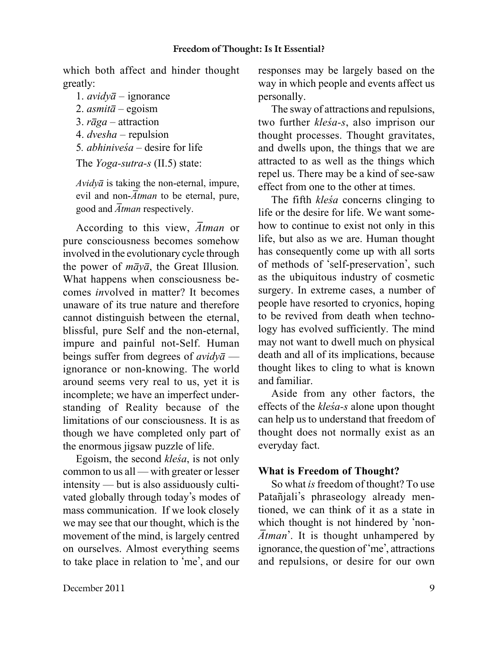which both affect and hinder thought greatly:

- 1.  $\frac{av \cdot d}{v \cdot a} \text{ignore}$
- 2.  $a$ *smitā* egoism
- 3. *râga*  attraction
- 4. *dvesha* repulsion
- 5. *abhinivesa* desire for life

The *Yoga-sutra-s* (II.5) state:

*Avidyâ* is taking the non-eternal, impure, evil and non-*Âtman* to be eternal, pure, good and *Âtman* respectively.

According to this view, *Âtman* or pure consciousness becomes somehow involved in the evolutionary cycle through the power of *mâyâ*, the Great Illusion*.* What happens when consciousness becomes *in*volved in matter? It becomes unaware of its true nature and therefore cannot distinguish between the eternal, blissful, pure Self and the non-eternal, impure and painful not-Self. Human beings suffer from degrees of *avidyâ* ignorance or non-knowing. The world around seems very real to us, yet it is incomplete; we have an imperfect understanding of Reality because of the limitations of our consciousness. It is as though we have completed only part of the enormous jigsaw puzzle of life.

Egoism, the second *klesa*, is not only common to us all — with greater or lesser intensity — but is also assiduously cultivated globally through today's modes of mass communication. If we look closely we may see that our thought, which is the movement of the mind, is largely centred on ourselves. Almost everything seems to take place in relation to 'me', and our

December 2011 9

responses may be largely based on the way in which people and events affect us personally.

The sway of attractions and repulsions, two further *kles<sup>a-s*</sup>, also imprison our thought processes. Thought gravitates, and dwells upon, the things that we are attracted to as well as the things which repel us. There may be a kind of see-saw effect from one to the other at times.

The fifth *klesa* concerns clinging to life or the desire for life. We want somehow to continue to exist not only in this life, but also as we are. Human thought has consequently come up with all sorts of methods of 'self-preservation', such as the ubiquitous industry of cosmetic surgery. In extreme cases, a number of people have resorted to cryonics, hoping to be revived from death when technology has evolved sufficiently. The mind may not want to dwell much on physical death and all of its implications, because thought likes to cling to what is known and familiar.

Aside from any other factors, the effects of the *klesa-s* alone upon thought can help us to understand that freedom of thought does not normally exist as an everyday fact.

#### **What is Freedom of Thought?**

So what *is* freedom of thought? To use Patañjali's phraseology already mentioned, we can think of it as a state in which thought is not hindered by 'non-*Âtman*'. It is thought unhampered by ignorance, the question of 'me', attractions and repulsions, or desire for our own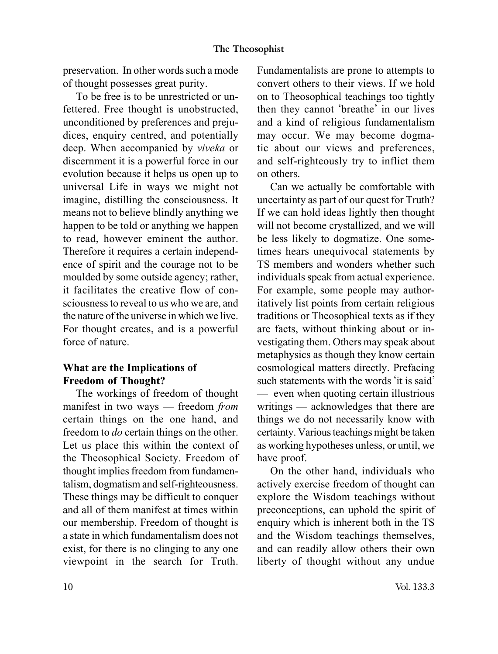preservation. In other words such a mode of thought possesses great purity.

To be free is to be unrestricted or unfettered. Free thought is unobstructed, unconditioned by preferences and prejudices, enquiry centred, and potentially deep. When accompanied by *viveka* or discernment it is a powerful force in our evolution because it helps us open up to universal Life in ways we might not imagine, distilling the consciousness. It means not to believe blindly anything we happen to be told or anything we happen to read, however eminent the author. Therefore it requires a certain independence of spirit and the courage not to be moulded by some outside agency; rather, it facilitates the creative flow of consciousness to reveal to us who we are, and the nature of the universe in which we live. For thought creates, and is a powerful force of nature.

## **What are the Implications of Freedom of Thought?**

The workings of freedom of thought manifest in two ways — freedom *from* certain things on the one hand, and freedom to *do* certain things on the other. Let us place this within the context of the Theosophical Society. Freedom of thought implies freedom from fundamentalism, dogmatism and self-righteousness. These things may be difficult to conquer and all of them manifest at times within our membership. Freedom of thought is a state in which fundamentalism does not exist, for there is no clinging to any one viewpoint in the search for Truth.

Fundamentalists are prone to attempts to convert others to their views. If we hold on to Theosophical teachings too tightly then they cannot 'breathe' in our lives and a kind of religious fundamentalism may occur. We may become dogmatic about our views and preferences, and self-righteously try to inflict them on others.

Can we actually be comfortable with uncertainty as part of our quest for Truth? If we can hold ideas lightly then thought will not become crystallized, and we will be less likely to dogmatize. One sometimes hears unequivocal statements by TS members and wonders whether such individuals speak from actual experience. For example, some people may authoritatively list points from certain religious traditions or Theosophical texts as if they are facts, without thinking about or investigating them. Others may speak about metaphysics as though they know certain cosmological matters directly. Prefacing such statements with the words 'it is said' — even when quoting certain illustrious writings — acknowledges that there are things we do not necessarily know with certainty. Various teachings might be taken as working hypotheses unless, or until, we have proof.

On the other hand, individuals who actively exercise freedom of thought can explore the Wisdom teachings without preconceptions, can uphold the spirit of enquiry which is inherent both in the TS and the Wisdom teachings themselves, and can readily allow others their own liberty of thought without any undue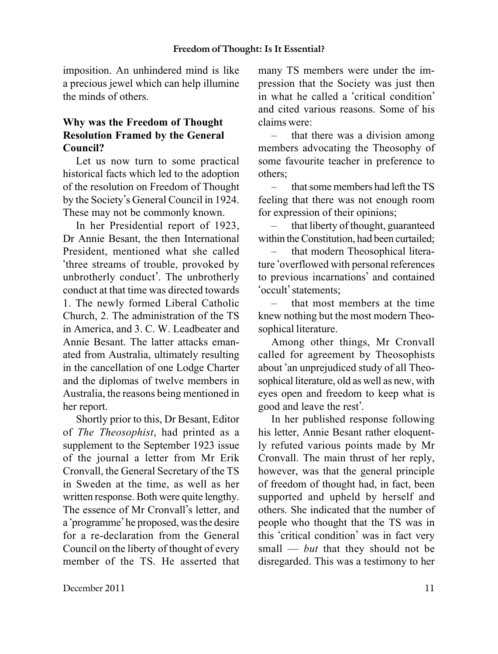imposition. An unhindered mind is like a precious jewel which can help illumine the minds of others.

## **Why was the Freedom of Thought Resolution Framed by the General Council?**

Let us now turn to some practical historical facts which led to the adoption of the resolution on Freedom of Thought by the Society's General Council in 1924. These may not be commonly known.

In her Presidential report of 1923, Dr Annie Besant, the then International President, mentioned what she called 'three streams of trouble, provoked by unbrotherly conduct'. The unbrotherly conduct at that time was directed towards 1. The newly formed Liberal Catholic Church, 2. The administration of the TS in America, and 3. C. W. Leadbeater and Annie Besant. The latter attacks emanated from Australia, ultimately resulting in the cancellation of one Lodge Charter and the diplomas of twelve members in Australia, the reasons being mentioned in her report.

Shortly prior to this, Dr Besant, Editor of *The Theosophist*, had printed as a supplement to the September 1923 issue of the journal a letter from Mr Erik Cronvall, the General Secretary of the TS in Sweden at the time, as well as her written response. Both were quite lengthy. The essence of Mr Cronvall's letter, and a 'programme' he proposed, was the desire for a re-declaration from the General Council on the liberty of thought of every member of the TS. He asserted that

many TS members were under the impression that the Society was just then in what he called a 'critical condition' and cited various reasons. Some of his claims were:

– that there was a division among members advocating the Theosophy of some favourite teacher in preference to others;

– that some members had left the TS feeling that there was not enough room for expression of their opinions;

that liberty of thought, guaranteed within the Constitution, had been curtailed;

that modern Theosophical literature 'overflowed with personal references to previous incarnations' and contained 'occult' statements;

– that most members at the time knew nothing but the most modern Theosophical literature.

Among other things, Mr Cronvall called for agreement by Theosophists about 'an unprejudiced study of all Theosophical literature, old as well as new, with eyes open and freedom to keep what is good and leave the rest'.

In her published response following his letter, Annie Besant rather eloquently refuted various points made by Mr Cronvall. The main thrust of her reply, however, was that the general principle of freedom of thought had, in fact, been supported and upheld by herself and others. She indicated that the number of people who thought that the TS was in this 'critical condition' was in fact very small — *but* that they should not be disregarded. This was a testimony to her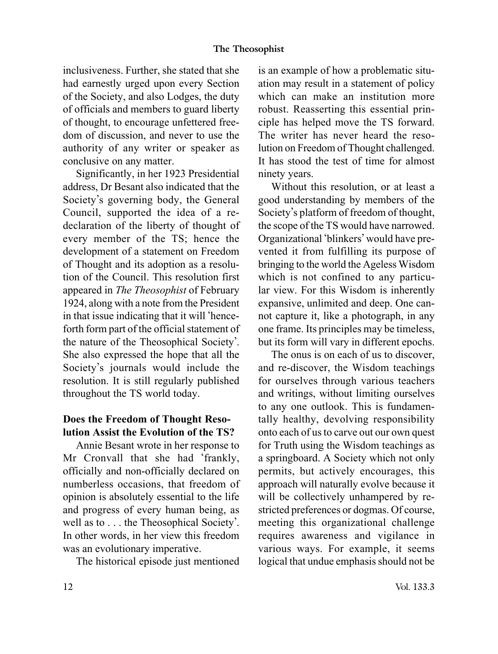#### **The Theosophist**

inclusiveness. Further, she stated that she had earnestly urged upon every Section of the Society, and also Lodges, the duty of officials and members to guard liberty of thought, to encourage unfettered freedom of discussion, and never to use the authority of any writer or speaker as conclusive on any matter.

Significantly, in her 1923 Presidential address, Dr Besant also indicated that the Society's governing body, the General Council, supported the idea of a redeclaration of the liberty of thought of every member of the TS; hence the development of a statement on Freedom of Thought and its adoption as a resolution of the Council. This resolution first appeared in *The Theosophist* of February 1924, along with a note from the President in that issue indicating that it will 'henceforth form part of the official statement of the nature of the Theosophical Society'. She also expressed the hope that all the Society's journals would include the resolution. It is still regularly published throughout the TS world today.

### **Does the Freedom of Thought Resolution Assist the Evolution of the TS?**

Annie Besant wrote in her response to Mr Cronvall that she had 'frankly, officially and non-officially declared on numberless occasions, that freedom of opinion is absolutely essential to the life and progress of every human being, as well as to . . . the Theosophical Society'. In other words, in her view this freedom was an evolutionary imperative.

The historical episode just mentioned

is an example of how a problematic situation may result in a statement of policy which can make an institution more robust. Reasserting this essential principle has helped move the TS forward. The writer has never heard the resolution on Freedom of Thought challenged. It has stood the test of time for almost ninety years.

Without this resolution, or at least a good understanding by members of the Society's platform of freedom of thought, the scope of the TS would have narrowed. Organizational 'blinkers' would have prevented it from fulfilling its purpose of bringing to the world the Ageless Wisdom which is not confined to any particular view. For this Wisdom is inherently expansive, unlimited and deep. One cannot capture it, like a photograph, in any one frame. Its principles may be timeless, but its form will vary in different epochs.

The onus is on each of us to discover, and re-discover, the Wisdom teachings for ourselves through various teachers and writings, without limiting ourselves to any one outlook. This is fundamentally healthy, devolving responsibility onto each of us to carve out our own quest for Truth using the Wisdom teachings as a springboard. A Society which not only permits, but actively encourages, this approach will naturally evolve because it will be collectively unhampered by restricted preferences or dogmas. Of course, meeting this organizational challenge requires awareness and vigilance in various ways. For example, it seems logical that undue emphasis should not be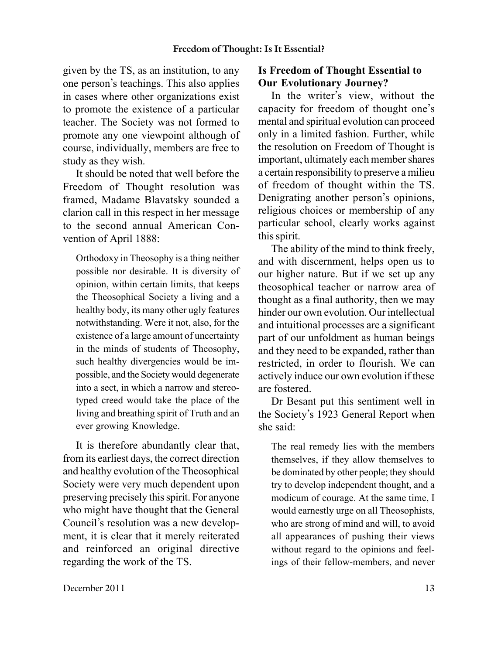given by the TS, as an institution, to any one person's teachings. This also applies in cases where other organizations exist to promote the existence of a particular teacher. The Society was not formed to promote any one viewpoint although of course, individually, members are free to study as they wish.

It should be noted that well before the Freedom of Thought resolution was framed, Madame Blavatsky sounded a clarion call in this respect in her message to the second annual American Convention of April 1888:

Orthodoxy in Theosophy is a thing neither possible nor desirable. It is diversity of opinion, within certain limits, that keeps the Theosophical Society a living and a healthy body, its many other ugly features notwithstanding. Were it not, also, for the existence of a large amount of uncertainty in the minds of students of Theosophy, such healthy divergencies would be impossible, and the Society would degenerate into a sect, in which a narrow and stereotyped creed would take the place of the living and breathing spirit of Truth and an ever growing Knowledge.

It is therefore abundantly clear that, from its earliest days, the correct direction and healthy evolution of the Theosophical Society were very much dependent upon preserving precisely this spirit. For anyone who might have thought that the General Council's resolution was a new development, it is clear that it merely reiterated and reinforced an original directive regarding the work of the TS.

#### **Is Freedom of Thought Essential to Our Evolutionary Journey?**

In the writer's view, without the capacity for freedom of thought one's mental and spiritual evolution can proceed only in a limited fashion. Further, while the resolution on Freedom of Thought is important, ultimately each member shares a certain responsibility to preserve a milieu of freedom of thought within the TS. Denigrating another person's opinions, religious choices or membership of any particular school, clearly works against this spirit.

The ability of the mind to think freely, and with discernment, helps open us to our higher nature. But if we set up any theosophical teacher or narrow area of thought as a final authority, then we may hinder our own evolution. Our intellectual and intuitional processes are a significant part of our unfoldment as human beings and they need to be expanded, rather than restricted, in order to flourish. We can actively induce our own evolution if these are fostered.

Dr Besant put this sentiment well in the Society's 1923 General Report when she said:

The real remedy lies with the members themselves, if they allow themselves to be dominated by other people; they should try to develop independent thought, and a modicum of courage. At the same time, I would earnestly urge on all Theosophists, who are strong of mind and will, to avoid all appearances of pushing their views without regard to the opinions and feelings of their fellow-members, and never